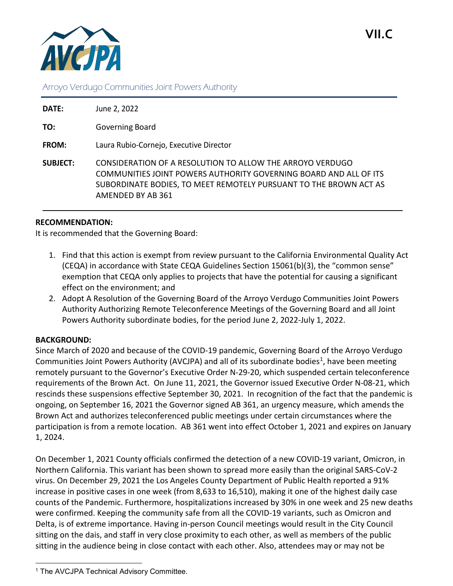

# Arroyo Verdugo Communities Joint Powers Authority

| DATE:           | June 2, 2022                                                                                                                                                                                                             |
|-----------------|--------------------------------------------------------------------------------------------------------------------------------------------------------------------------------------------------------------------------|
| TO:             | Governing Board                                                                                                                                                                                                          |
| <b>FROM:</b>    | Laura Rubio-Cornejo, Executive Director                                                                                                                                                                                  |
| <b>SUBJECT:</b> | CONSIDERATION OF A RESOLUTION TO ALLOW THE ARROYO VERDUGO<br>COMMUNITIES JOINT POWERS AUTHORITY GOVERNING BOARD AND ALL OF ITS<br>SUBORDINATE BODIES, TO MEET REMOTELY PURSUANT TO THE BROWN ACT AS<br>AMENDED BY AB 361 |

## **RECOMMENDATION:**

It is recommended that the Governing Board:

- 1. Find that this action is exempt from review pursuant to the California Environmental Quality Act (CEQA) in accordance with State CEQA Guidelines Section 15061(b)(3), the "common sense" exemption that CEQA only applies to projects that have the potential for causing a significant effect on the environment; and
- 2. Adopt A Resolution of the Governing Board of the Arroyo Verdugo Communities Joint Powers Authority Authorizing Remote Teleconference Meetings of the Governing Board and all Joint Powers Authority subordinate bodies, for the period June 2, 2022-July 1, 2022.

## **BACKGROUND:**

Since March of 2020 and because of the COVID-19 pandemic, Governing Board of the Arroyo Verdugo Communities Joint Powers Authority (AVCJPA) and all of its subordinate bodies<sup>1</sup>, have been meeting remotely pursuant to the Governor's Executive Order N-29-20, which suspended certain teleconference requirements of the Brown Act. On June 11, 2021, the Governor issued Executive Order N-08-21, which rescinds these suspensions effective September 30, 2021. In recognition of the fact that the pandemic is ongoing, on September 16, 2021 the Governor signed AB 361, an urgency measure, which amends the Brown Act and authorizes teleconferenced public meetings under certain circumstances where the participation is from a remote location. AB 361 went into effect October 1, 2021 and expires on January 1, 2024.

On December 1, 2021 County officials confirmed the detection of a new COVID-19 variant, Omicron, in Northern California. This variant has been shown to spread more easily than the original SARS-CoV-2 virus. On December 29, 2021 the Los Angeles County Department of Public Health reported a 91% increase in positive cases in one week (from 8,633 to 16,510), making it one of the highest daily case counts of the Pandemic. Furthermore, hospitalizations increased by 30% in one week and 25 new deaths were confirmed. Keeping the community safe from all the COVID-19 variants, such as Omicron and Delta, is of extreme importance. Having in-person Council meetings would result in the City Council sitting on the dais, and staff in very close proximity to each other, as well as members of the public sitting in the audience being in close contact with each other. Also, attendees may or may not be

<span id="page-0-0"></span>l <sup>1</sup> The AVCJPA Technical Advisory Committee.